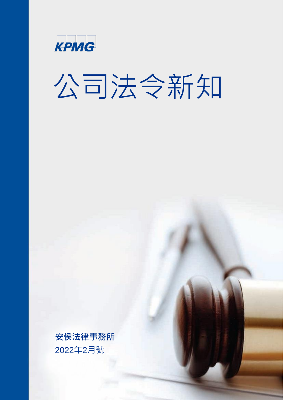

# 公司法令新知

**安侯法律事務所** 2022年2月號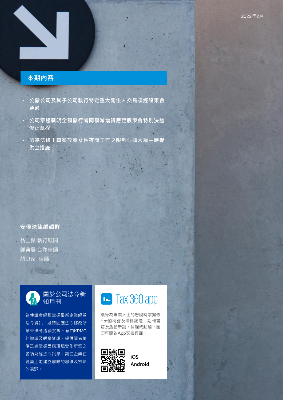#### **本期內容**

a bi prest

- **公發公司及其子公司執行特定重大關係人交易須經股東會 通過**
- **公司章程載明全額發行者同額減增資應經股東會特別決議 修正章程**
- **勞基法修正草案放寬女性夜間工作之限制並擴大雇主應提 供之措施**

### **安侯法律編輯群**

翁士傑 執行顧問 鍾典晏 合夥律師 顏良家 律師

(国际公司



為使讀者輕鬆掌握最新企業經營 法令資訊,及時因應法令修改所 帶來法令遵循挑戰。藉由KPMG 的導讀及觀察資訊,提供讀者精 準迅速掌握因應環境變化所需之 各項財經法令訊息,期使企業在 經營上能建立前瞻的思維及宏觀 的視野。

### [Tax 360 app](http://onelink.to/kpmgtax360)

讓身為專業人士的您隨時掌握最 Hot的稅務及法律議題、期刊書 籍及活動新訊。掃瞄或點選下圖 即可開啟App安裝頁面。



KPMG International Limited, a private English company limited by guarantee. All rights reserved.

**iOS [Android](http://onelink.to/kpmgtax360)**

© 2022 KPMG Law Firm, a Taiwan licensed law firm and a member firm of the KPMG global organization of independent member firms affiliated with

G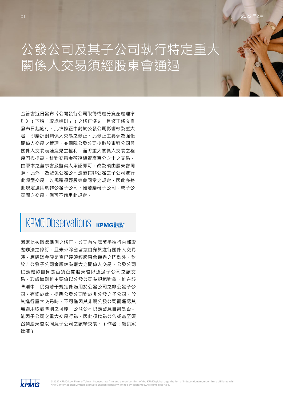### 公發公司及其子公司執行特定重大 關係人交易須經股東會通過

金管會近日發布《公開發行公司取得或處分資產處理準 則》(下稱「取處準則」)之修正條文,且修正條文自 發布日起施行。此次修正中對於公發公司影響較為重大 者,即屬針對關係人交易之修正。此修正主要係為強化 關係人交易之管理,並保障公發公司少數股東對公司與 關係人交易表達意見之權利,而將重大關係人交易之程 序門檻提高。針對交易金額達總資產百分之十之交易, 由原本之董事會及監察人承認即可,改為須由股東會同 意。此外,為避免公發公司透過其非公發之子公司進行 此類型交易,以規避須經股東會同意之規定,因此亦將 此規定適用於非公發子公司。惟若屬母子公司,或子公 司間之交易,則可不適用此規定。

### KPMG Observations **KPMG** 配點

因應此次取處準則之修正,公司首先應著手進行內部取 處辦法之修訂,目未來除應留意自身於進行關係人交易 時,應確認金額是否已達須經股東會通過之門檻外,對 於非公發子公司金額較為龐大之關係人交易,公發公司 也應確認自身是否須召開股東會以通過子公司之該交 易。取處準則雖主要係以公發公司為規範對象,惟在該 進則中,仍有若干規定係滴用於公發公司之非公發子公 司。有鑑於此,提醒公發公司對於非公發之子公司,於 其進行重大交易時,不可僅因其非屬公發公司而逕認其 無適用取處準則之可能,公發公司仍應留意自身是否可 能因子公司之重大交易行為,因此須代為公告或甚至須 召開股東會以同意子公司之該筆交易。(作者:顏良家 律師)

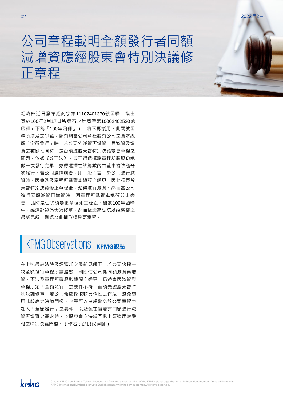### 公司章程載明全額發行者同額 減增資應經股東會特別決議修 正章程

經濟部近日發布經商字第11102401370號函釋, 指出 其於100年2月17日所發布之經商字第10002402520號 函釋(下稱「100年函釋」),將不再援用。此兩號函 釋所涉及之爭議,係有關當公司章程載有公司之資本總 額「全額發行」時,若公司先減資再增資,日減資及增 資之數額相同時,是否須經股東會特別決議變更章程之 問題。依據《公司法》,公司得選擇將章程所載股份總 數一次發行完畢,亦得選擇在該總數內由董事會決議分 次發行。若公司選擇前者,則一般而言,於公司進行減 資時,因會涉及章程所載資本總額之變更,因此須經股 東會特別決議修正章程後,始得進行減資。然而當公司 進行同額減資再增資時,因章程所載資本總額並未變 更,此時是否仍須變更章程即生疑義。雖於100年函釋 中,經濟部認為毋須修章,然而依最高法院及經濟部之 最新見解,則認為此情形須變更章程。

### KPMG Observations KPMG觀點

在上述最高法院及經濟部之最新見解下,若公司係採一 次全額發行章程所載股數,則即使公司係同額減資再增 資,不涉及章程所載股數總額之變更,仍然會因減資與 章程所定「全額發行」之要件不符,而須先經股東會特 別決議修章。若公司希望採取較具彈性之作法,避免適 用此較高之決議門檻,企業可以考慮避免於公司章程中 加入「全額發行」之要件,以避免往後若有同額進行減 資再增資之需求時,於股東會之決議門檻上須適用較嚴 格之特別決議門檻。(作者:顏良家律師)

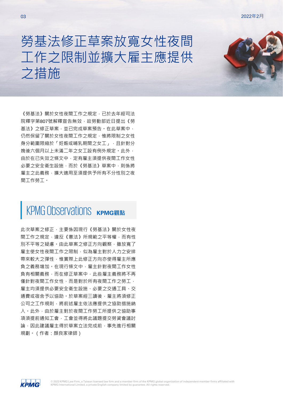### 勞基法修正草案放寬女性夜間 工作之限制並擴大雇主應提供 之措施

《勞基法》關於女性夜間工作之規定,已於去年經司法 院釋字第807號解釋宣告無效,故勞動部近日提出《勞 基法》之修正草案,並已完成草案預告。在此草案中, 仍然保留了關於女性夜間工作之規定,惟將限制之女性 身分範圍限縮於「奸娠或哺乳期間之女工」,日針對分 娩後六個月以上未滿二年之女工設有例外規定。此外, 由於在已失效之條文中,定有雇主須提供夜間工作女性 必要之安全衛生設施,而於《勞基法》草案中,則係將 雇主之此義務,擴大適用至須提供予所有不分性別之夜 間工作勞工。

### KPMG Observations **KPMG** Observations

此次草案之修正,主要係因現行《勞基法》關於女性夜 間工作之規定,違反《憲法》所規範之平等權,而有性 別不平等之疑慮。由此草案之修正方向觀察,雖放寬了 雇主使女性夜間工作之限制,似為雇主對於人力之安排 帶來較大之彈性,惟實際上此修正方向亦使得雇主所應 負之義務增加。在現行條文中,雇主針對夜間工作女性 負有相關義務,而在修正草案中,此些雇主義務將不再 僅針對夜間工作女性,而是對於所有夜間工作之勞工, 雇主均須提供必要安全衛生設施、必要之交通工具、交 通費或宿舍予以協助。於草案經三讀後,雇主將須修正 公司之工作規則,將前述雇主依法應提供之協助措施納 入。此外,由於雇主對於夜間工作勞工所提供之協助事 項須提前通知工會,工會並得將此議題提交勞資會議討 論,因此建議雇主得於草案立法完成前,事先進行相關 規劃。(作者:顏良家律師)

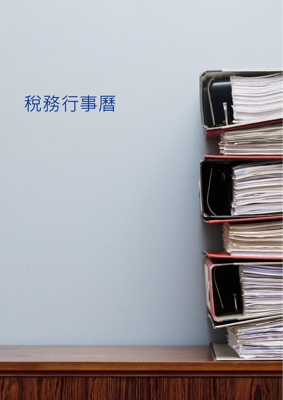## 稅務行事曆

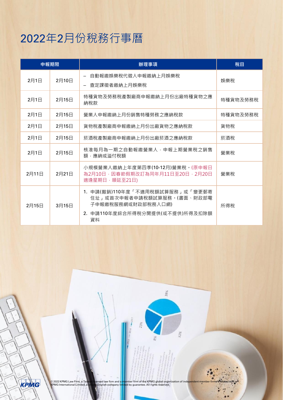### 2022年2月份稅務行事曆

| 申報期限  |       | 辦理事項                                                                                                                         | 稅目       |
|-------|-------|------------------------------------------------------------------------------------------------------------------------------|----------|
| 2月1日  | 2月10日 | 自動報繳娛樂稅代徵人申報繳納上月娛樂稅<br>查定課徵者繳納上月娛樂稅                                                                                          | 娯樂稅      |
| 2月1日  | 2月15日 | 特種貨物及勞務稅產製廠商申報繳納上月份出廠特種貨物之應<br>納稅款                                                                                           | 特種貨物及勞務稅 |
| 2月1日  | 2月15日 | 營業人申報繳納上月份銷售特種勞務之應納稅款                                                                                                        | 特種貨物及勞務稅 |
| 2月1日  | 2月15日 | 貨物稅產製廠商申報繳納上月份出廠貨物之應納稅款                                                                                                      | 貨物稅      |
| 2月1日  | 2月15日 | 菸酒稅產製廠商申報繳納上月份出廠菸酒之應納稅款                                                                                                      | 菸酒稅      |
| 2月1日  | 2月15日 | 核准每月為一期之自動報繳營業人,申報上期營業稅之銷售<br>額,應納或溢付稅額                                                                                      | 營業稅      |
| 2月11日 | 2月21日 | 小規模營業人繳納上年度第四季(10-12月)營業稅。(原申報日<br>為2月10日,因春節假期改訂為同年月11日至20日,2月20日<br>適逢星期日,順延至21日)                                          | 營業稅      |
| 2月15日 | 3月15日 | 1. 申請(撤銷)110年度「不適用稅額試算服務」或「變更郵寄<br>住址」或首次申報者申請稅額試算服務。(書面、財政部電<br>子申報繳稅服務網或財政部稅務入口網)<br>2. 申請110年度綜合所得稅分開提供(或不提供)所得及扣除額<br>資料 | 所得稅      |

38% 31%

© 2022 KPMG Law Firm, a Taiwan licensed law firm and a member firm of the KPMG global organization of independent member firms affiliated with<br>KPMG International Limited, a private English company limited by guarantee. All

KPMG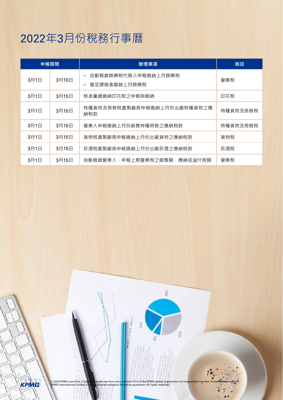### 2022年3月份稅務行事曆

| 申報期限 |       | 辦理事項                                | 稅目       |
|------|-------|-------------------------------------|----------|
| 3月1日 | 3月10日 | 自動報繳娛樂稅代徵人申報繳納上月娛樂稅<br>查定課徵者繳納上月娛樂稅 | 營業稅      |
| 3月1日 | 3月15日 | 核准彙總繳納印花稅之申報與繳納                     | 印花稅      |
| 3月1日 | 3月15日 | 特種貨物及勞務稅產製廠商申報繳納上月份出廠特種貨物之應<br>納稅款  | 特種貨物及勞務稅 |
| 3月1日 | 3月15日 | 營業人申報繳納上月份銷售特種勞務之應納稅款               | 特種貨物及勞務稅 |
| 3月1日 | 3月15日 | 貨物稅產製廠商申報繳納上月份出廠貨物之應納稅款             | 貨物稅      |
| 3月1日 | 3月15日 | 菸酒稅產製廠商申報繳納上月份出廠菸酒之應納稅款             | 菸酒稅      |
| 3月1日 | 3月15日 | 自動報繳營業人,申報上期營業稅之銷售額,應納或溢付稅額         | 營業稅      |

38%

31%

KPMG

© 2022 KPMG Law Firm, a Taiwan licensed law firm and a member firm of the KPMG global organization of independent member firms affiliated with<br>KPMG International Limited, a private English company limited by guarantee. All